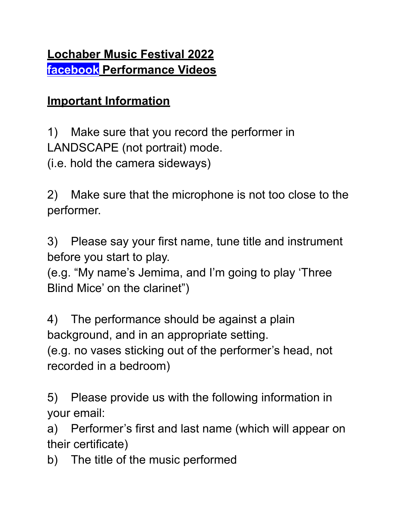## **Important Information**

1) Make sure that you record the performer in LANDSCAPE (not portrait) mode.

(i.e. hold the camera sideways)

2) Make sure that the microphone is not too close to the performer.

3) Please say your first name, tune title and instrument before you start to play.

(e.g. "My name's Jemima, and I'm going to play 'Three Blind Mice' on the clarinet")

4) The performance should be against a plain background, and in an appropriate setting.

(e.g. no vases sticking out of the performer's head, not recorded in a bedroom)

5) Please provide us with the following information in your email:

a) Performer's first and last name (which will appear on their certificate)

b) The title of the music performed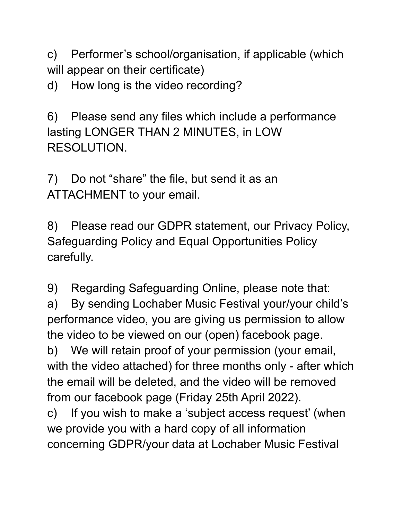c) Performer's school/organisation, if applicable (which will appear on their certificate)

d) How long is the video recording?

6) Please send any files which include a performance lasting LONGER THAN 2 MINUTES, in LOW RESOLUTION.

7) Do not "share" the file, but send it as an ATTACHMENT to your email.

8) Please read our GDPR statement, our Privacy Policy, Safeguarding Policy and Equal Opportunities Policy carefully.

9) Regarding Safeguarding Online, please note that: a) By sending Lochaber Music Festival your/your child's performance video, you are giving us permission to allow the video to be viewed on our (open) facebook page. b) We will retain proof of your permission (your email, with the video attached) for three months only - after which the email will be deleted, and the video will be removed from our facebook page (Friday 25th April 2022). c) If you wish to make a 'subject access request' (when we provide you with a hard copy of all information concerning GDPR/your data at Lochaber Music Festival